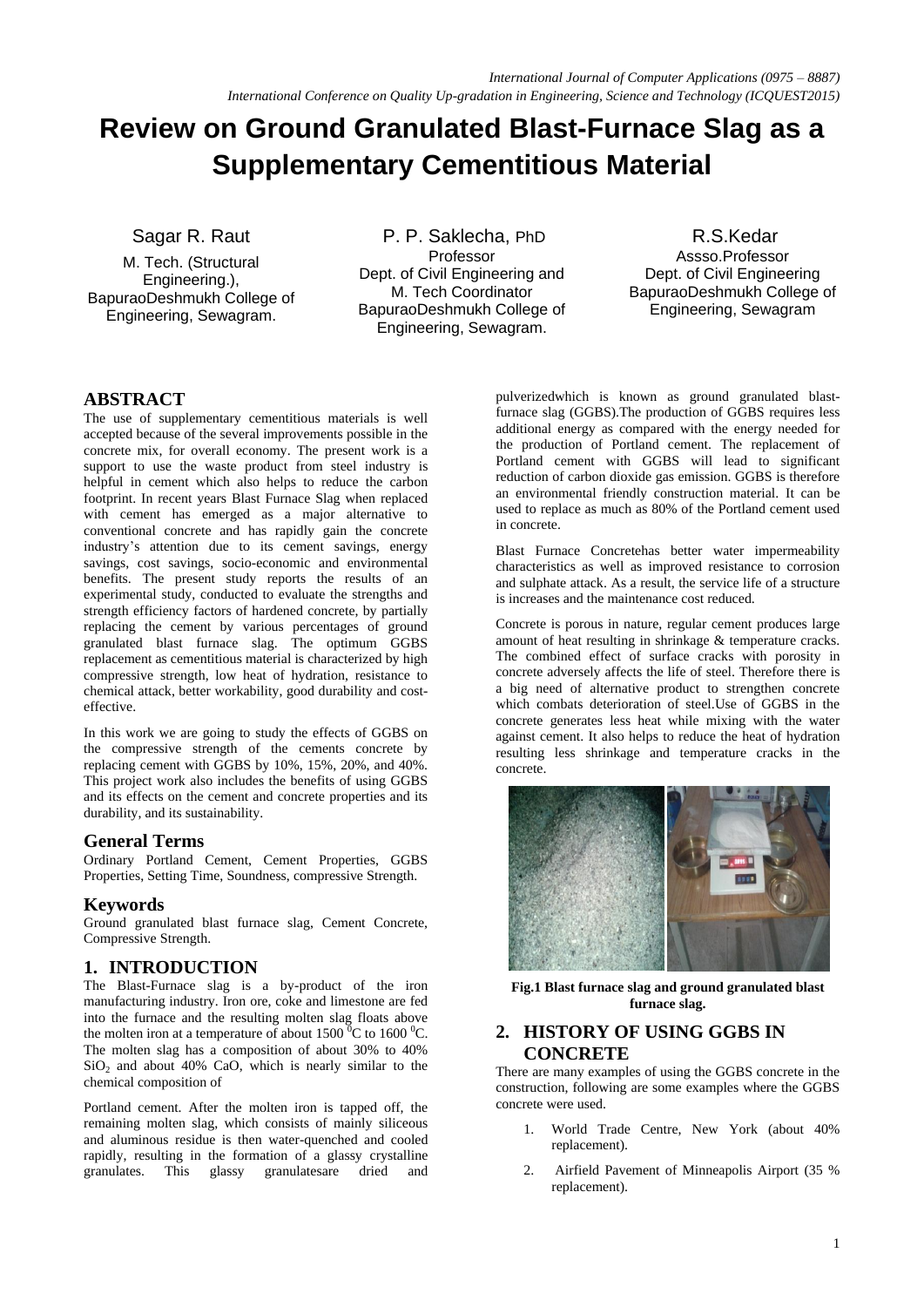# **Review on Ground Granulated Blast-Furnace Slag as a Supplementary Cementitious Material**

Sagar R. Raut

M. Tech. (Structural Engineering.), BapuraoDeshmukh College of Engineering, Sewagram.

P. P. Saklecha, PhD Professor Dept. of Civil Engineering and M. Tech Coordinator BapuraoDeshmukh College of Engineering, Sewagram.

R.S.Kedar Assso.Professor Dept. of Civil Engineering BapuraoDeshmukh College of Engineering, Sewagram

# **ABSTRACT**

The use of supplementary cementitious materials is well accepted because of the several improvements possible in the concrete mix, for overall economy. The present work is a support to use the waste product from steel industry is helpful in cement which also helps to reduce the carbon footprint. In recent years Blast Furnace Slag when replaced with cement has emerged as a major alternative to conventional concrete and has rapidly gain the concrete industry"s attention due to its cement savings, energy savings, cost savings, socio-economic and environmental benefits. The present study reports the results of an experimental study, conducted to evaluate the strengths and strength efficiency factors of hardened concrete, by partially replacing the cement by various percentages of ground granulated blast furnace slag. The optimum GGBS replacement as cementitious material is characterized by high compressive strength, low heat of hydration, resistance to chemical attack, better workability, good durability and costeffective.

In this work we are going to study the effects of GGBS on the compressive strength of the cements concrete by replacing cement with GGBS by 10%, 15%, 20%, and 40%. This project work also includes the benefits of using GGBS and its effects on the cement and concrete properties and its durability, and its sustainability.

## **General Terms**

Ordinary Portland Cement, Cement Properties, GGBS Properties, Setting Time, Soundness, compressive Strength.

# **Keywords**

Ground granulated blast furnace slag, Cement Concrete, Compressive Strength.

# **1. INTRODUCTION**

The Blast-Furnace slag is a by-product of the iron manufacturing industry. Iron ore, coke and limestone are fed into the furnace and the resulting molten slag floats above the molten iron at a temperature of about  $1500<sup>0</sup>C$  to  $1600<sup>0</sup>C$ . The molten slag has a composition of about 30% to 40%  $SiO<sub>2</sub>$  and about 40% CaO, which is nearly similar to the chemical composition of

Portland cement. After the molten iron is tapped off, the remaining molten slag, which consists of mainly siliceous and aluminous residue is then water-quenched and cooled rapidly, resulting in the formation of a glassy crystalline granulates. This glassy granulatesare dried and

pulverizedwhich is known as ground granulated blastfurnace slag (GGBS).The production of GGBS requires less additional energy as compared with the energy needed for the production of Portland cement. The replacement of Portland cement with GGBS will lead to significant reduction of carbon dioxide gas emission. GGBS is therefore an environmental friendly construction material. It can be used to replace as much as 80% of the Portland cement used in concrete.

Blast Furnace Concretehas better water impermeability characteristics as well as improved resistance to corrosion and sulphate attack. As a result, the service life of a structure is increases and the maintenance cost reduced.

Concrete is porous in nature, regular cement produces large amount of heat resulting in shrinkage & temperature cracks. The combined effect of surface cracks with porosity in concrete adversely affects the life of steel. Therefore there is a big need of alternative product to strengthen concrete which combats deterioration of steel.Use of GGBS in the concrete generates less heat while mixing with the water against cement. It also helps to reduce the heat of hydration resulting less shrinkage and temperature cracks in the concrete.



**Fig.1 Blast furnace slag and ground granulated blast furnace slag.**

## **2. HISTORY OF USING GGBS IN CONCRETE**

There are many examples of using the GGBS concrete in the construction, following are some examples where the GGBS concrete were used.

- 1. World Trade Centre, New York (about 40% replacement).
- 2. Airfield Pavement of Minneapolis Airport (35 % replacement).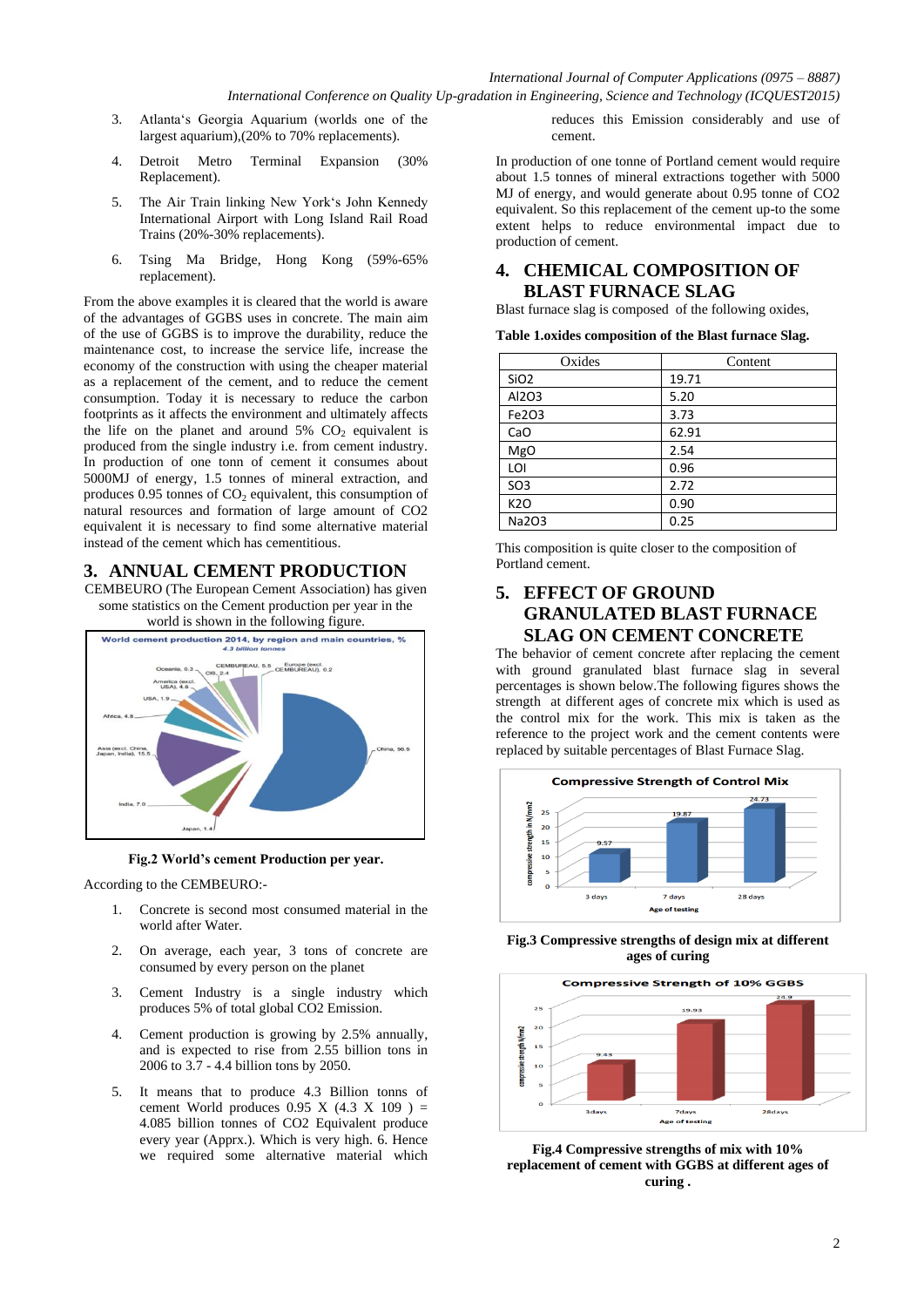- 3. Atlanta"s Georgia Aquarium (worlds one of the largest aquarium),(20% to 70% replacements).
- 4. Detroit Metro Terminal Expansion (30% Replacement).
- 5. The Air Train linking New York"s John Kennedy International Airport with Long Island Rail Road Trains (20%-30% replacements).
- 6. Tsing Ma Bridge, Hong Kong (59%-65% replacement).

From the above examples it is cleared that the world is aware of the advantages of GGBS uses in concrete. The main aim of the use of GGBS is to improve the durability, reduce the maintenance cost, to increase the service life, increase the economy of the construction with using the cheaper material as a replacement of the cement, and to reduce the cement consumption. Today it is necessary to reduce the carbon footprints as it affects the environment and ultimately affects the life on the planet and around  $5\%$  CO<sub>2</sub> equivalent is produced from the single industry i.e. from cement industry. In production of one tonn of cement it consumes about 5000MJ of energy, 1.5 tonnes of mineral extraction, and produces  $0.95$  tonnes of  $CO<sub>2</sub>$  equivalent, this consumption of natural resources and formation of large amount of CO2 equivalent it is necessary to find some alternative material instead of the cement which has cementitious.

### **3. ANNUAL CEMENT PRODUCTION**

CEMBEURO (The European Cement Association) has given some statistics on the Cement production per year in the



#### **Fig.2 World's cement Production per year.**

According to the CEMBEURO:-

- 1. Concrete is second most consumed material in the world after Water.
- 2. On average, each year, 3 tons of concrete are consumed by every person on the planet
- 3. Cement Industry is a single industry which produces 5% of total global CO2 Emission.
- 4. Cement production is growing by 2.5% annually, and is expected to rise from 2.55 billion tons in 2006 to 3.7 - 4.4 billion tons by 2050.
- 5. It means that to produce 4.3 Billion tonns of cement World produces  $0.95$  X  $(4.3 \times 109)$  = 4.085 billion tonnes of CO2 Equivalent produce every year (Apprx.). Which is very high. 6. Hence we required some alternative material which

reduces this Emission considerably and use of cement.

In production of one tonne of Portland cement would require about 1.5 tonnes of mineral extractions together with 5000 MJ of energy, and would generate about 0.95 tonne of CO2 equivalent. So this replacement of the cement up-to the some extent helps to reduce environmental impact due to production of cement.

### **4. CHEMICAL COMPOSITION OF BLAST FURNACE SLAG**

Blast furnace slag is composed of the following oxides,

**Table 1.oxides composition of the Blast furnace Slag.**

| Oxides           | Content |
|------------------|---------|
| SiO <sub>2</sub> | 19.71   |
| Al2O3            | 5.20    |
| Fe2O3            | 3.73    |
| CaO              | 62.91   |
| <b>MgO</b>       | 2.54    |
| LOI              | 0.96    |
| SO <sub>3</sub>  | 2.72    |
| K2O              | 0.90    |
| Na2O3            | 0.25    |

This composition is quite closer to the composition of Portland cement.

# **5. EFFECT OF GROUND GRANULATED BLAST FURNACE SLAG ON CEMENT CONCRETE**

The behavior of cement concrete after replacing the cement with ground granulated blast furnace slag in several percentages is shown below.The following figures shows the strength at different ages of concrete mix which is used as the control mix for the work. This mix is taken as the reference to the project work and the cement contents were replaced by suitable percentages of Blast Furnace Slag.



**Fig.3 Compressive strengths of design mix at different ages of curing**



**Fig.4 Compressive strengths of mix with 10% replacement of cement with GGBS at different ages of curing .**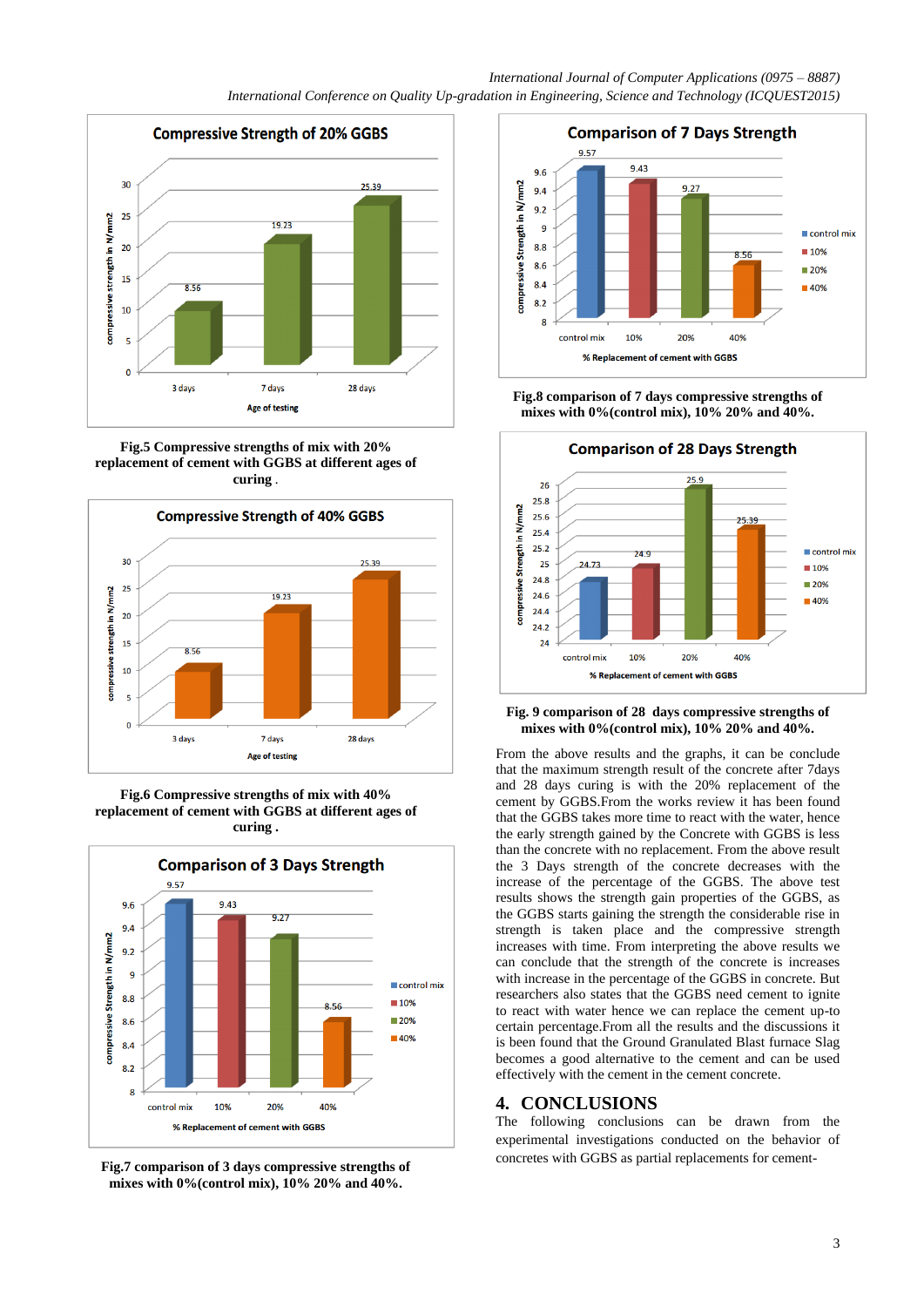

**Fig.5 Compressive strengths of mix with 20% replacement of cement with GGBS at different ages of curing** *.*



**Fig.6 Compressive strengths of mix with 40% replacement of cement with GGBS at different ages of curing .**



**Fig.7 comparison of 3 days compressive strengths of mixes with 0%(control mix), 10% 20% and 40%.**



**Fig.8 comparison of 7 days compressive strengths of mixes with 0%(control mix), 10% 20% and 40%.**



#### **Fig. 9 comparison of 28 days compressive strengths of mixes with 0%(control mix), 10% 20% and 40%.**

From the above results and the graphs, it can be conclude that the maximum strength result of the concrete after 7days and 28 days curing is with the 20% replacement of the cement by GGBS.From the works review it has been found that the GGBS takes more time to react with the water, hence the early strength gained by the Concrete with GGBS is less than the concrete with no replacement. From the above result the 3 Days strength of the concrete decreases with the increase of the percentage of the GGBS. The above test results shows the strength gain properties of the GGBS, as the GGBS starts gaining the strength the considerable rise in strength is taken place and the compressive strength increases with time. From interpreting the above results we can conclude that the strength of the concrete is increases with increase in the percentage of the GGBS in concrete. But researchers also states that the GGBS need cement to ignite to react with water hence we can replace the cement up-to certain percentage.From all the results and the discussions it is been found that the Ground Granulated Blast furnace Slag becomes a good alternative to the cement and can be used effectively with the cement in the cement concrete.

# **4. CONCLUSIONS**

The following conclusions can be drawn from the experimental investigations conducted on the behavior of concretes with GGBS as partial replacements for cement-